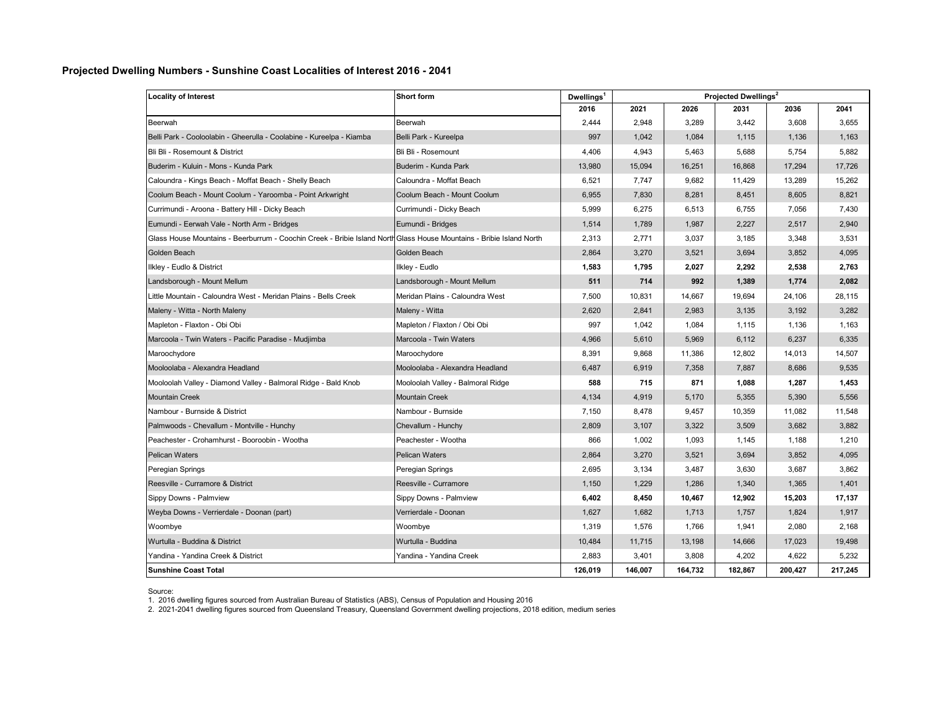## **Projected Dwelling Numbers - Sunshine Coast Localities of Interest 2016 - 2041**

| <b>Locality of Interest</b>                                                                                         | Short form                        | Dwellings <sup>1</sup> | Projected Dwellings <sup>2</sup> |         |         |         |         |
|---------------------------------------------------------------------------------------------------------------------|-----------------------------------|------------------------|----------------------------------|---------|---------|---------|---------|
|                                                                                                                     |                                   | 2016                   | 2021                             | 2026    | 2031    | 2036    | 2041    |
| Beerwah                                                                                                             | Beerwah                           | 2,444                  | 2,948                            | 3,289   | 3,442   | 3,608   | 3,655   |
| Belli Park - Cooloolabin - Gheerulla - Coolabine - Kureelpa - Kiamba                                                | Belli Park - Kureelpa             | 997                    | 1,042                            | 1,084   | 1,115   | 1,136   | 1,163   |
| Bli Bli - Rosemount & District                                                                                      | Bli Bli - Rosemount               | 4,406                  | 4,943                            | 5,463   | 5,688   | 5,754   | 5,882   |
| Buderim - Kuluin - Mons - Kunda Park                                                                                | Buderim - Kunda Park              | 13,980                 | 15,094                           | 16,251  | 16,868  | 17,294  | 17,726  |
| Caloundra - Kings Beach - Moffat Beach - Shelly Beach                                                               | Caloundra - Moffat Beach          | 6,521                  | 7,747                            | 9,682   | 11,429  | 13,289  | 15,262  |
| Coolum Beach - Mount Coolum - Yaroomba - Point Arkwright                                                            | Coolum Beach - Mount Coolum       | 6,955                  | 7,830                            | 8,281   | 8,451   | 8,605   | 8,821   |
| Currimundi - Aroona - Battery Hill - Dicky Beach                                                                    | Currimundi - Dicky Beach          | 5,999                  | 6,275                            | 6,513   | 6,755   | 7,056   | 7,430   |
| Eumundi - Eerwah Vale - North Arm - Bridges                                                                         | Eumundi - Bridges                 | 1,514                  | 1,789                            | 1,987   | 2,227   | 2,517   | 2,940   |
| Glass House Mountains - Beerburrum - Coochin Creek - Bribie Island NorthGlass House Mountains - Bribie Island North |                                   | 2,313                  | 2,771                            | 3.037   | 3,185   | 3,348   | 3,531   |
| Golden Beach                                                                                                        | Golden Beach                      | 2,864                  | 3,270                            | 3,521   | 3,694   | 3,852   | 4,095   |
| Ilkley - Eudlo & District                                                                                           | Ilkley - Eudlo                    | 1,583                  | 1,795                            | 2,027   | 2,292   | 2,538   | 2,763   |
| Landsborough - Mount Mellum                                                                                         | Landsborough - Mount Mellum       | 511                    | 714                              | 992     | 1,389   | 1,774   | 2,082   |
| Little Mountain - Caloundra West - Meridan Plains - Bells Creek                                                     | Meridan Plains - Caloundra West   | 7,500                  | 10,831                           | 14,667  | 19,694  | 24,106  | 28,115  |
| Maleny - Witta - North Maleny                                                                                       | Maleny - Witta                    | 2,620                  | 2,841                            | 2,983   | 3,135   | 3,192   | 3,282   |
| Mapleton - Flaxton - Obi Obi                                                                                        | Mapleton / Flaxton / Obi Obi      | 997                    | 1,042                            | 1,084   | 1,115   | 1,136   | 1,163   |
| Marcoola - Twin Waters - Pacific Paradise - Mudjimba                                                                | Marcoola - Twin Waters            | 4,966                  | 5,610                            | 5,969   | 6,112   | 6,237   | 6,335   |
| Maroochydore                                                                                                        | Maroochydore                      | 8,391                  | 9,868                            | 11,386  | 12,802  | 14,013  | 14,507  |
| Mooloolaba - Alexandra Headland                                                                                     | Mooloolaba - Alexandra Headland   | 6,487                  | 6,919                            | 7,358   | 7,887   | 8,686   | 9,535   |
| Mooloolah Valley - Diamond Valley - Balmoral Ridge - Bald Knob                                                      | Mooloolah Valley - Balmoral Ridge | 588                    | 715                              | 871     | 1,088   | 1,287   | 1,453   |
| <b>Mountain Creek</b>                                                                                               | <b>Mountain Creek</b>             | 4,134                  | 4,919                            | 5,170   | 5,355   | 5,390   | 5,556   |
| Nambour - Burnside & District                                                                                       | Nambour - Burnside                | 7,150                  | 8,478                            | 9,457   | 10,359  | 11,082  | 11,548  |
| Palmwoods - Chevallum - Montville - Hunchy                                                                          | Chevallum - Hunchy                | 2,809                  | 3,107                            | 3,322   | 3,509   | 3,682   | 3,882   |
| Peachester - Crohamhurst - Booroobin - Wootha                                                                       | Peachester - Wootha               | 866                    | 1,002                            | 1,093   | 1,145   | 1,188   | 1,210   |
| <b>Pelican Waters</b>                                                                                               | <b>Pelican Waters</b>             | 2,864                  | 3,270                            | 3,521   | 3,694   | 3,852   | 4,095   |
| Peregian Springs                                                                                                    | Peregian Springs                  | 2,695                  | 3,134                            | 3,487   | 3,630   | 3,687   | 3,862   |
| Reesville - Curramore & District                                                                                    | Reesville - Curramore             | 1,150                  | 1,229                            | 1,286   | 1,340   | 1,365   | 1,401   |
| Sippy Downs - Palmview                                                                                              | Sippy Downs - Palmview            | 6,402                  | 8,450                            | 10,467  | 12,902  | 15,203  | 17,137  |
| Weyba Downs - Verrierdale - Doonan (part)                                                                           | Verrierdale - Doonan              | 1,627                  | 1,682                            | 1,713   | 1,757   | 1,824   | 1,917   |
| Woombye                                                                                                             | Woombye                           | 1,319                  | 1,576                            | 1,766   | 1,941   | 2,080   | 2,168   |
| Wurtulla - Buddina & District                                                                                       | Wurtulla - Buddina                | 10,484                 | 11,715                           | 13,198  | 14,666  | 17,023  | 19,498  |
| Yandina - Yandina Creek & District                                                                                  | Yandina - Yandina Creek           | 2,883                  | 3,401                            | 3,808   | 4,202   | 4,622   | 5,232   |
| <b>Sunshine Coast Total</b>                                                                                         |                                   | 126,019                | 146,007                          | 164,732 | 182,867 | 200,427 | 217,245 |

Source:

1. 2016 dwelling figures sourced from Australian Bureau of Statistics (ABS), Census of Population and Housing 2016<br>2. 2021-2041 dwelling figures sourced from Queensland Treasury, Queensland Government dwelling projection